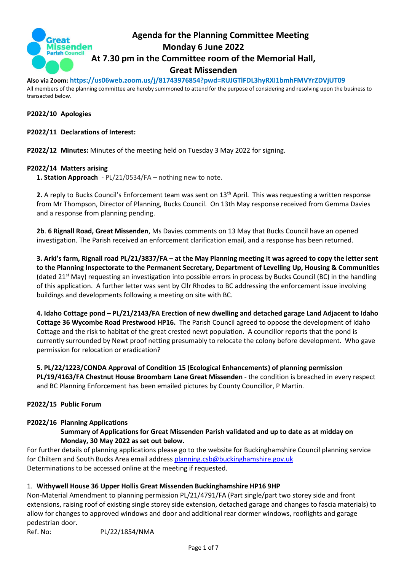

# **Agenda for the Planning Committee Meeting Monday 6 June 2022 At 7.30 pm in the Committee room of the Memorial Hall, Great Missenden**

**Also via Zoom: https://us06web.zoom.us/j/81743976854?pwd=RUJGTlFDL3hyRXI1bmhFMVYrZDVjUT09**

All members of the planning committee are hereby summoned to attend for the purpose of considering and resolving upon the business to transacted below.

#### **P2022/10 Apologies**

### **P2022/11 Declarations of Interest:**

**P2022/12 Minutes:** Minutes of the meeting held on Tuesday 3 May 2022 for signing.

#### **P2022/14 Matters arising**

**1. Station Approach** - PL/21/0534/FA – nothing new to note.

**2.** A reply to Bucks Council's Enforcement team was sent on 13<sup>th</sup> April. This was requesting a written response from Mr Thompson, Director of Planning, Bucks Council. On 13th May response received from Gemma Davies and a response from planning pending.

**2b**. **6 Rignall Road, Great Missenden**, Ms Davies comments on 13 May that Bucks Council have an opened investigation. The Parish received an enforcement clarification email, and a response has been returned.

**3. Arki's farm, Rignall road PL/21/3837/FA – at the May Planning meeting it was agreed to copy the letter sent to the Planning Inspectorate to the Permanent Secretary, Department of Levelling Up, Housing & Communities**  (dated 21<sup>st</sup> May) requesting an investigation into possible errors in process by Bucks Council (BC) in the handling of this application. A further letter was sent by Cllr Rhodes to BC addressing the enforcement issue involving buildings and developments following a meeting on site with BC.

**4. Idaho Cottage pond – PL/21/2143/FA Erection of new dwelling and detached garage Land Adjacent to Idaho Cottage 36 Wycombe Road Prestwood HP16.** The Parish Council agreed to oppose the development of Idaho Cottage and the risk to habitat of the great crested newt population. A councillor reports that the pond is currently surrounded by Newt proof netting presumably to relocate the colony before development. Who gave permission for relocation or eradication?

**5. PL/22/1223/CONDA Approval of Condition 15 (Ecological Enhancements) of planning permission PL/19/4163/FA Chestnut House Broombarn Lane Great Missenden** - the condition is breached in every respect and BC Planning Enforcement has been emailed pictures by County Councillor, P Martin.

# **P2022/15 Public Forum**

#### **P2022/16 Planning Applications**

### **Summary of Applications for Great Missenden Parish validated and up to date as at midday on Monday, 30 May 2022 as set out below.**

For further details of planning applications please go to the website for Buckinghamshire Council planning service for Chiltern and South Bucks Area email address [planning.csb@buckinghamshire.gov.uk](mailto:planning.csb@buckinghamshire.gov.uk) Determinations to be accessed online at the meeting if requested.

# 1. **Withywell House 36 Upper Hollis Great Missenden Buckinghamshire HP16 9HP**

Non-Material Amendment to planning permission PL/21/4791/FA (Part single/part two storey side and front extensions, raising roof of existing single storey side extension, detached garage and changes to fascia materials) to allow for changes to approved windows and door and additional rear dormer windows, rooflights and garage pedestrian door.

Ref. No: PL/22/1854/NMA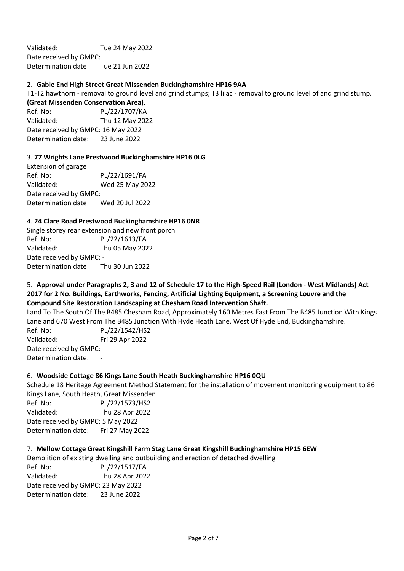Validated: Tue 24 May 2022 Date received by GMPC: Determination date Tue 21 Jun 2022

### 2. **Gable End High Street Great Missenden Buckinghamshire HP16 9AA**

T1-T2 hawthorn - removal to ground level and grind stumps; T3 lilac - removal to ground level of and grind stump.

**(Great Missenden Conservation Area).** Ref. No: PL/22/1707/KA Validated: Thu 12 May 2022

Date received by GMPC: 16 May 2022 Determination date: 23 June 2022

#### 3. **77 Wrights Lane Prestwood Buckinghamshire HP16 0LG**

Extension of garage Ref. No: PL/22/1691/FA Validated: Wed 25 May 2022 Date received by GMPC: Determination date Wed 20 Jul 2022

#### 4. **24 Clare Road Prestwood Buckinghamshire HP16 0NR**

Single storey rear extension and new front porch Ref. No: PL/22/1613/FA Validated: Thu 05 May 2022 Date received by GMPC: - Determination date Thu 30 Jun 2022

### 5. **Approval under Paragraphs 2, 3 and 12 of Schedule 17 to the High-Speed Rail (London - West Midlands) Act 2017 for 2 No. Buildings, Earthworks, Fencing, Artificial Lighting Equipment, a Screening Louvre and the Compound Site Restoration Landscaping at Chesham Road Intervention Shaft.**

Land To The South Of The B485 Chesham Road, Approximately 160 Metres East From The B485 Junction With Kings Lane and 670 West From The B485 Junction With Hyde Heath Lane, West Of Hyde End, Buckinghamshire. Ref. No: PL/22/1542/HS2 Validated: Fri 29 Apr 2022 Date received by GMPC: Determination date:

#### 6. **Woodside Cottage 86 Kings Lane South Heath Buckinghamshire HP16 0QU**

Schedule 18 Heritage Agreement Method Statement for the installation of movement monitoring equipment to 86 Kings Lane, South Heath, Great Missenden Ref. No: PL/22/1573/HS2 Validated: Thu 28 Apr 2022 Date received by GMPC: 5 May 2022 Determination date: Fri 27 May 2022

#### 7. **Mellow Cottage Great Kingshill Farm Stag Lane Great Kingshill Buckinghamshire HP15 6EW**

Demolition of existing dwelling and outbuilding and erection of detached dwelling

Ref. No: PL/22/1517/FA Validated: Thu 28 Apr 2022 Date received by GMPC: 23 May 2022 Determination date: 23 June 2022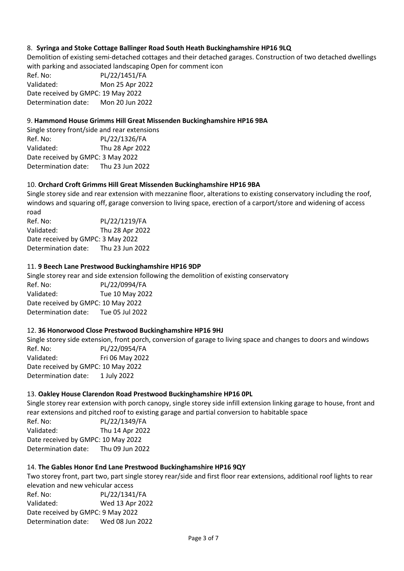# 8. **Syringa and Stoke Cottage Ballinger Road South Heath Buckinghamshire HP16 9LQ**

Demolition of existing semi-detached cottages and their detached garages. Construction of two detached dwellings with parking and associated landscaping Open for comment icon

Ref. No: PL/22/1451/FA Validated: Mon 25 Apr 2022 Date received by GMPC: 19 May 2022 Determination date: Mon 20 Jun 2022

### 9. **Hammond House Grimms Hill Great Missenden Buckinghamshire HP16 9BA**

Single storey front/side and rear extensions Ref. No: PL/22/1326/FA Validated: Thu 28 Apr 2022 Date received by GMPC: 3 May 2022 Determination date: Thu 23 Jun 2022

### 10. **Orchard Croft Grimms Hill Great Missenden Buckinghamshire HP16 9BA**

Single storey side and rear extension with mezzanine floor, alterations to existing conservatory including the roof, windows and squaring off, garage conversion to living space, erection of a carport/store and widening of access road

Ref. No: PL/22/1219/FA Validated: Thu 28 Apr 2022 Date received by GMPC: 3 May 2022 Determination date: Thu 23 Jun 2022

#### 11. **9 Beech Lane Prestwood Buckinghamshire HP16 9DP**

Single storey rear and side extension following the demolition of existing conservatory Ref. No: PL/22/0994/FA Validated: Tue 10 May 2022 Date received by GMPC: 10 May 2022 Determination date: Tue 05 Jul 2022

#### 12. **36 Honorwood Close Prestwood Buckinghamshire HP16 9HJ**

Single storey side extension, front porch, conversion of garage to living space and changes to doors and windows Ref. No: PL/22/0954/FA Validated: Fri 06 May 2022 Date received by GMPC: 10 May 2022 Determination date: 1 July 2022

#### 13. **Oakley House Clarendon Road Prestwood Buckinghamshire HP16 0PL**

Single storey rear extension with porch canopy, single storey side infill extension linking garage to house, front and rear extensions and pitched roof to existing garage and partial conversion to habitable space

Ref. No: PL/22/1349/FA Validated: Thu 14 Apr 2022 Date received by GMPC: 10 May 2022 Determination date: Thu 09 Jun 2022

#### 14. **The Gables Honor End Lane Prestwood Buckinghamshire HP16 9QY**

Two storey front, part two, part single storey rear/side and first floor rear extensions, additional roof lights to rear elevation and new vehicular access Ref. No: PL/22/1341/FA Validated: Wed 13 Apr 2022 Date received by GMPC: 9 May 2022 Determination date: Wed 08 Jun 2022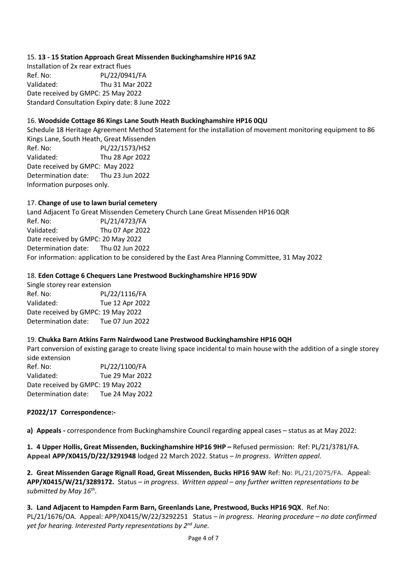# 15. **13 - 15 Station Approach Great Missenden Buckinghamshire HP16 9AZ**

Installation of 2x rear extract flues Ref. No: PL/22/0941/FA Validated: Thu 31 Mar 2022 Date received by GMPC: 25 May 2022 Standard Consultation Expiry date: 8 June 2022

### 16. **Woodside Cottage 86 Kings Lane South Heath Buckinghamshire HP16 0QU**

Schedule 18 Heritage Agreement Method Statement for the installation of movement monitoring equipment to 86 Kings Lane, South Heath, Great Missenden Ref. No: PL/22/1573/HS2 Validated: Thu 28 Apr 2022 Date received by GMPC: May 2022 Determination date: Thu 23 Jun 2022 Information purposes only.

### 17. **Change of use to lawn burial cemetery**

Land Adjacent To Great Missenden Cemetery Church Lane Great Missenden HP16 0QR Ref. No: PL/21/4723/FA Validated: Thu 07 Apr 2022 Date received by GMPC: 20 May 2022 Determination date: Thu 02 Jun 2022 For information: application to be considered by the East Area Planning Committee, 31 May 2022

#### 18. **Eden Cottage 6 Chequers Lane Prestwood Buckinghamshire HP16 9DW**

Single storey rear extension Ref. No: PL/22/1116/FA Validated: Tue 12 Apr 2022 Date received by GMPC: 19 May 2022 Determination date: Tue 07 Jun 2022

# 19. **Chukka Barn Atkins Farm Nairdwood Lane Prestwood Buckinghamshire HP16 0QH**

Part conversion of existing garage to create living space incidental to main house with the addition of a single storey side extension Ref. No: PL/22/1100/FA Validated: Tue 29 Mar 2022 Date received by GMPC: 19 May 2022 Determination date: Tue 24 May 2022

#### **P2022/17 Correspondence:-**

**a) Appeals -** correspondence from Buckinghamshire Council regarding appeal cases – status as at May 2022:

**1. 4 Upper Hollis, Great Missenden, Buckinghamshire HP16 9HP –** Refused permission: Ref: PL/21/3781/FA. **Appeal APP/X0415/D/22/3291948** lodged 22 March 2022. Status – *In progress*. *Written appeal.*

**2. Great Missenden Garage Rignall Road, Great Missenden, Bucks HP16 9AW** Ref: No: PL/21/2075/FA. Appeal: **APP/X0415/W/21/3289172.** Status *– in progress*. *Written appeal – any further written representations to be submitted by May 16th .*

**3. Land Adjacent to Hampden Farm Barn, Greenlands Lane, Prestwood, Bucks HP16 9QX**. Ref.No: PL/21/1676/OA. Appeal: APP/X0415/W/22/3292251 Status – *in progress*. *Hearing procedure – no date confirmed yet for hearing. Interested Party representations by 2nd June.*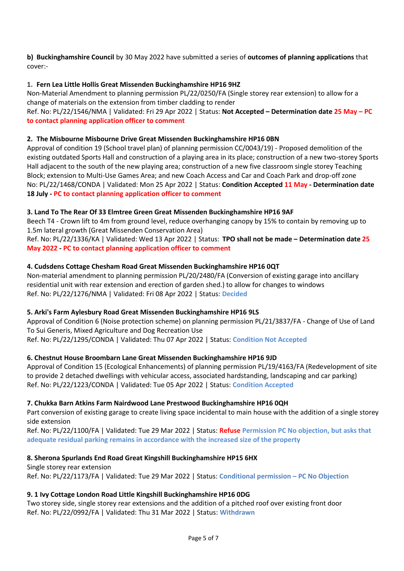# **b) Buckinghamshire Council** by 30 May 2022 have submitted a series of **outcomes of planning applications** that cover:-

### **1. Fern Lea Little Hollis Great Missenden Buckinghamshire HP16 9HZ**

Non-Material Amendment to planning permission PL/22/0250/FA (Single storey rear extension) to allow for a change of materials on the extension from timber cladding to render

Ref. No: PL/22/1546/NMA | Validated: Fri 29 Apr 2022 | Status: **Not Accepted – Determination date 25 May – PC to contact planning application officer to comment**

#### **2. The Misbourne Misbourne Drive Great Missenden Buckinghamshire HP16 0BN**

Approval of condition 19 (School travel plan) of planning permission CC/0043/19) - Proposed demolition of the existing outdated Sports Hall and construction of a playing area in its place; construction of a new two-storey Sports Hall adjacent to the south of the new playing area; construction of a new five classroom single storey Teaching Block; extension to Multi-Use Games Area; and new Coach Access and Car and Coach Park and drop-off zone No: PL/22/1468/CONDA | Validated: Mon 25 Apr 2022 | Status: **Condition Accepted 11 May - Determination date 18 July - PC to contact planning application officer to comment**

### **3. Land To The Rear Of 33 Elmtree Green Great Missenden Buckinghamshire HP16 9AF**

Beech T4 - Crown lift to 4m from ground level, reduce overhanging canopy by 15% to contain by removing up to 1.5m lateral growth (Great Missenden Conservation Area)

Ref. No: PL/22/1336/KA | Validated: Wed 13 Apr 2022 | Status: **TPO shall not be made – Determination date 25 May 2022 - PC to contact planning application officer to comment**

### **4. Cudsdens Cottage Chesham Road Great Missenden Buckinghamshire HP16 0QT**

Non-material amendment to planning permission PL/20/2480/FA (Conversion of existing garage into ancillary residential unit with rear extension and erection of garden shed.) to allow for changes to windows Ref. No: PL/22/1276/NMA | Validated: Fri 08 Apr 2022 | Status: **Decided**

# **5. Arki's Farm Aylesbury Road Great Missenden Buckinghamshire HP16 9LS**

Approval of Condition 6 (Noise protection scheme) on planning permission PL/21/3837/FA - Change of Use of Land To Sui Generis, Mixed Agriculture and Dog Recreation Use Ref. No: PL/22/1295/CONDA | Validated: Thu 07 Apr 2022 | Status: **Condition Not Accepted**

# **6. Chestnut House Broombarn Lane Great Missenden Buckinghamshire HP16 9JD**

Approval of Condition 15 (Ecological Enhancements) of planning permission PL/19/4163/FA (Redevelopment of site to provide 2 detached dwellings with vehicular access, associated hardstanding, landscaping and car parking) Ref. No: PL/22/1223/CONDA | Validated: Tue 05 Apr 2022 | Status: **Condition Accepted**

#### **7. Chukka Barn Atkins Farm Nairdwood Lane Prestwood Buckinghamshire HP16 0QH**

Part conversion of existing garage to create living space incidental to main house with the addition of a single storey side extension

Ref. No: PL/22/1100/FA | Validated: Tue 29 Mar 2022 | Status: **Refuse Permission PC No objection, but asks that adequate residual parking remains in accordance with the increased size of the property**

#### **8. Sherona Spurlands End Road Great Kingshill Buckinghamshire HP15 6HX**

Single storey rear extension Ref. No: PL/22/1173/FA | Validated: Tue 29 Mar 2022 | Status: **Conditional permission – PC No Objection**

# **9. 1 Ivy Cottage London Road Little Kingshill Buckinghamshire HP16 0DG**

Two storey side, single storey rear extensions and the addition of a pitched roof over existing front door Ref. No: PL/22/0992/FA | Validated: Thu 31 Mar 2022 | Status: **Withdrawn**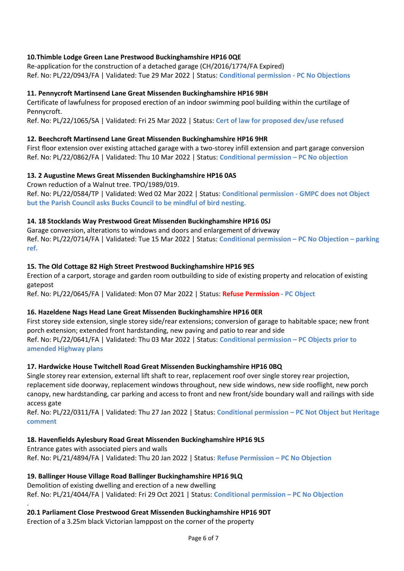# **10.Thimble Lodge Green Lane Prestwood Buckinghamshire HP16 0QE**

Re-application for the construction of a detached garage (CH/2016/1774/FA Expired) Ref. No: PL/22/0943/FA | Validated: Tue 29 Mar 2022 | Status: **Conditional permission - PC No Objections**

# **11. Pennycroft Martinsend Lane Great Missenden Buckinghamshire HP16 9BH**

Certificate of lawfulness for proposed erection of an indoor swimming pool building within the curtilage of Pennycroft.

Ref. No: PL/22/1065/SA | Validated: Fri 25 Mar 2022 | Status: **Cert of law for proposed dev/use refused**

# **12. Beechcroft Martinsend Lane Great Missenden Buckinghamshire HP16 9HR**

First floor extension over existing attached garage with a two-storey infill extension and part garage conversion Ref. No: PL/22/0862/FA | Validated: Thu 10 Mar 2022 | Status: **Conditional permission – PC No objection**

# **13. 2 Augustine Mews Great Missenden Buckinghamshire HP16 0AS**

Crown reduction of a Walnut tree. TPO/1989/019.

Ref. No: PL/22/0584/TP | Validated: Wed 02 Mar 2022 | Status: **Conditional permission - GMPC does not Object but the Parish Council asks Bucks Council to be mindful of bird nesting.**

# **14. 18 Stocklands Way Prestwood Great Missenden Buckinghamshire HP16 0SJ**

Garage conversion, alterations to windows and doors and enlargement of driveway Ref. No: PL/22/0714/FA | Validated: Tue 15 Mar 2022 | Status: **Conditional permission – PC No Objection – parking ref.**

# **15. The Old Cottage 82 High Street Prestwood Buckinghamshire HP16 9ES**

Erection of a carport, storage and garden room outbuilding to side of existing property and relocation of existing gatepost

Ref. No: PL/22/0645/FA | Validated: Mon 07 Mar 2022 | Status: **Refuse Permission - PC Object**

# **16. Hazeldene Nags Head Lane Great Missenden Buckinghamshire HP16 0ER**

First storey side extension, single storey side/rear extensions; conversion of garage to habitable space; new front porch extension; extended front hardstanding, new paving and patio to rear and side Ref. No: PL/22/0641/FA | Validated: Thu 03 Mar 2022 | Status: **Conditional permission – PC Objects prior to amended Highway plans**

# **17. Hardwicke House Twitchell Road Great Missenden Buckinghamshire HP16 0BQ**

Single storey rear extension, external lift shaft to rear, replacement roof over single storey rear projection, replacement side doorway, replacement windows throughout, new side windows, new side rooflight, new porch canopy, new hardstanding, car parking and access to front and new front/side boundary wall and railings with side access gate

Ref. No: PL/22/0311/FA | Validated: Thu 27 Jan 2022 | Status: **Conditional permission – PC Not Object but Heritage comment**

# **18. Havenfields Aylesbury Road Great Missenden Buckinghamshire HP16 9LS**

Entrance gates with associated piers and walls Ref. No: PL/21/4894/FA | Validated: Thu 20 Jan 2022 | Status**: Refuse Permission – PC No Objection**

# **19. Ballinger House Village Road Ballinger Buckinghamshire HP16 9LQ**

.

Demolition of existing dwelling and erection of a new dwelling Ref. No: PL/21/4044/FA | Validated: Fri 29 Oct 2021 | Status: **Conditional permission – PC No Objection**

**20.1 Parliament Close Prestwood Great Missenden Buckinghamshire HP16 9DT**

Erection of a 3.25m black Victorian lamppost on the corner of the property